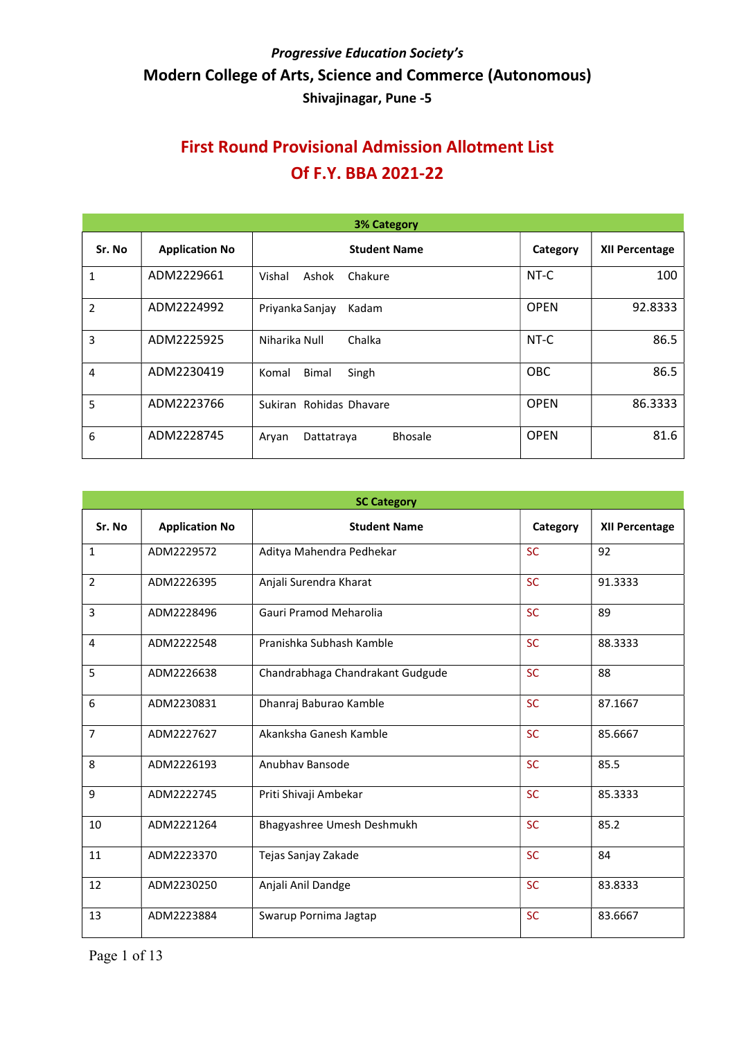| <b>3% Category</b> |                       |                                       |             |                       |  |
|--------------------|-----------------------|---------------------------------------|-------------|-----------------------|--|
| Sr. No             | <b>Application No</b> | <b>Student Name</b>                   | Category    | <b>XII Percentage</b> |  |
| $\mathbf{1}$       | ADM2229661            | Vishal<br>Chakure<br>Ashok            | NT-C        | 100                   |  |
| 2                  | ADM2224992            | Priyanka Sanjay<br>Kadam              | <b>OPEN</b> | 92.8333               |  |
| 3                  | ADM2225925            | Niharika Null<br>Chalka               | NT-C        | 86.5                  |  |
| 4                  | ADM2230419            | <b>Bimal</b><br>Singh<br>Komal        | OBC         | 86.5                  |  |
| 5                  | ADM2223766            | Sukiran Rohidas Dhavare               | <b>OPEN</b> | 86.3333               |  |
| 6                  | ADM2228745            | <b>Bhosale</b><br>Dattatraya<br>Aryan | <b>OPEN</b> | 81.6                  |  |

| <b>SC Category</b>    |                                  |           |                       |  |  |
|-----------------------|----------------------------------|-----------|-----------------------|--|--|
| <b>Application No</b> | <b>Student Name</b>              | Category  | <b>XII Percentage</b> |  |  |
| ADM2229572            | Aditya Mahendra Pedhekar         | <b>SC</b> | 92                    |  |  |
| ADM2226395            | Anjali Surendra Kharat           | <b>SC</b> | 91.3333               |  |  |
| ADM2228496            | Gauri Pramod Meharolia           | <b>SC</b> | 89                    |  |  |
| ADM2222548            | Pranishka Subhash Kamble         | <b>SC</b> | 88.3333               |  |  |
| ADM2226638            | Chandrabhaga Chandrakant Gudgude | <b>SC</b> | 88                    |  |  |
| ADM2230831            | Dhanraj Baburao Kamble           | <b>SC</b> | 87.1667               |  |  |
| ADM2227627            | Akanksha Ganesh Kamble           | <b>SC</b> | 85.6667               |  |  |
| ADM2226193            | Anubhay Bansode                  | <b>SC</b> | 85.5                  |  |  |
| ADM2222745            | Priti Shivaji Ambekar            | <b>SC</b> | 85.3333               |  |  |
| ADM2221264            | Bhagyashree Umesh Deshmukh       | <b>SC</b> | 85.2                  |  |  |
| ADM2223370            | Tejas Sanjay Zakade              | <b>SC</b> | 84                    |  |  |
| ADM2230250            | Anjali Anil Dandge               | <b>SC</b> | 83.8333               |  |  |
| ADM2223884            | Swarup Pornima Jagtap            | <b>SC</b> | 83.6667               |  |  |
|                       |                                  |           |                       |  |  |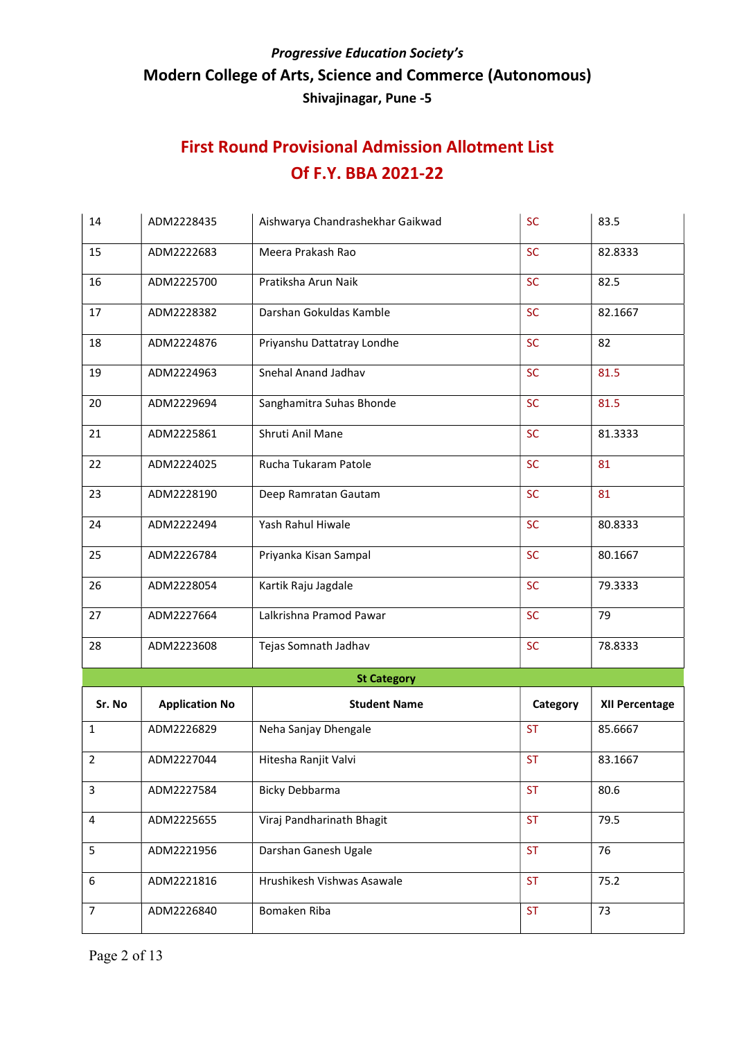| 14             | ADM2228435            | Aishwarya Chandrashekhar Gaikwad | <b>SC</b> | 83.5                  |
|----------------|-----------------------|----------------------------------|-----------|-----------------------|
| 15             | ADM2222683            | Meera Prakash Rao                | <b>SC</b> | 82.8333               |
| 16             | ADM2225700            | Pratiksha Arun Naik              | <b>SC</b> | 82.5                  |
| 17             | ADM2228382            | Darshan Gokuldas Kamble          | <b>SC</b> | 82.1667               |
| 18             | ADM2224876            | Priyanshu Dattatray Londhe       | <b>SC</b> | 82                    |
| 19             | ADM2224963            | Snehal Anand Jadhav              | <b>SC</b> | 81.5                  |
| 20             | ADM2229694            | Sanghamitra Suhas Bhonde         | <b>SC</b> | 81.5                  |
| 21             | ADM2225861            | Shruti Anil Mane                 | <b>SC</b> | 81.3333               |
| 22             | ADM2224025            | Rucha Tukaram Patole             | <b>SC</b> | 81                    |
| 23             | ADM2228190            | Deep Ramratan Gautam             | <b>SC</b> | 81                    |
| 24             | ADM2222494            | Yash Rahul Hiwale                | <b>SC</b> | 80.8333               |
| 25             | ADM2226784            | Priyanka Kisan Sampal            | <b>SC</b> | 80.1667               |
| 26             | ADM2228054            | Kartik Raju Jagdale              | <b>SC</b> | 79.3333               |
| 27             | ADM2227664            | Lalkrishna Pramod Pawar          | <b>SC</b> | 79                    |
| 28             | ADM2223608            | Tejas Somnath Jadhav             | <b>SC</b> | 78.8333               |
|                |                       | <b>St Category</b>               |           |                       |
| Sr. No         | <b>Application No</b> | <b>Student Name</b>              | Category  | <b>XII Percentage</b> |
| $\mathbf{1}$   | ADM2226829            | Neha Sanjay Dhengale             | <b>ST</b> | 85.6667               |
| $\overline{2}$ | ADM2227044            | Hitesha Ranjit Valvi             | <b>ST</b> | 83.1667               |
| 3              | ADM2227584            | <b>Bicky Debbarma</b>            | <b>ST</b> | 80.6                  |
| 4              | ADM2225655            | Viraj Pandharinath Bhagit        | <b>ST</b> | 79.5                  |
| 5              | ADM2221956            | Darshan Ganesh Ugale             | <b>ST</b> | 76                    |
| 6              | ADM2221816            | Hrushikesh Vishwas Asawale       | <b>ST</b> | 75.2                  |
| 7              | ADM2226840            | Bomaken Riba                     | <b>ST</b> | 73                    |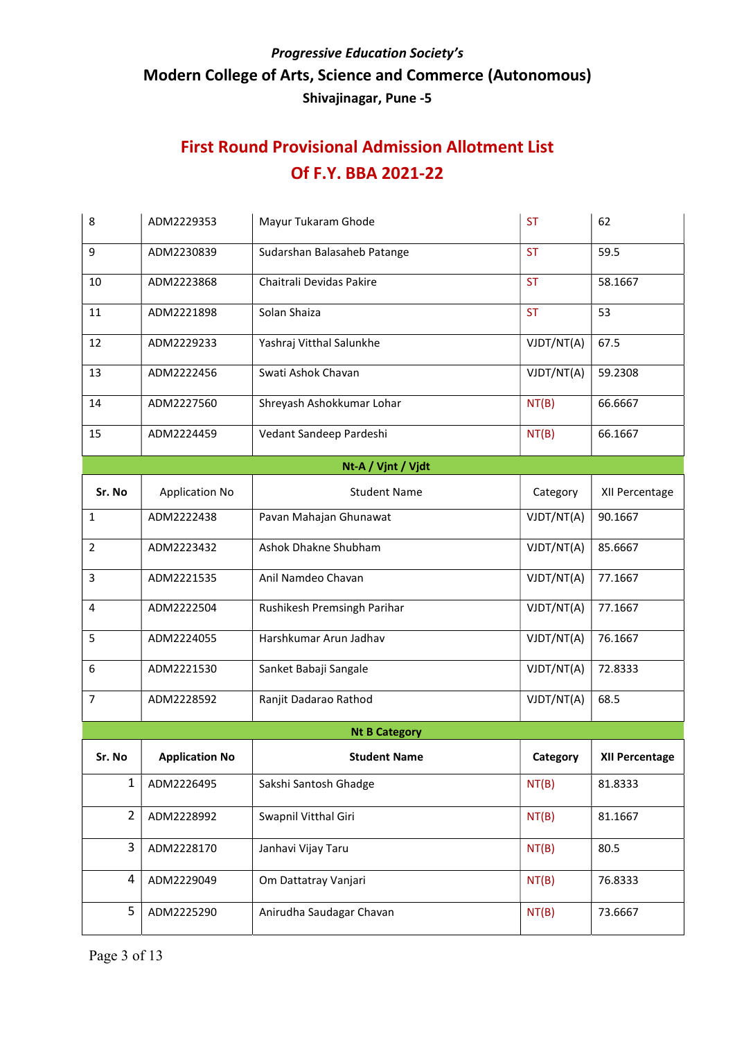| 8              | ADM2229353            | Mayur Tukaram Ghode         | <b>ST</b>  | 62             |
|----------------|-----------------------|-----------------------------|------------|----------------|
| 9              | ADM2230839            | Sudarshan Balasaheb Patange | <b>ST</b>  | 59.5           |
| 10             | ADM2223868            | Chaitrali Devidas Pakire    | <b>ST</b>  | 58.1667        |
| 11             | ADM2221898            | Solan Shaiza                | <b>ST</b>  | 53             |
| 12             | ADM2229233            | Yashraj Vitthal Salunkhe    | VJDT/NT(A) | 67.5           |
| 13             | ADM2222456            | Swati Ashok Chavan          | VJDT/NT(A) | 59.2308        |
| 14             | ADM2227560            | Shreyash Ashokkumar Lohar   | NT(B)      | 66.6667        |
| 15             | ADM2224459            | Vedant Sandeep Pardeshi     | NT(B)      | 66.1667        |
|                |                       | Nt-A / Vjnt / Vjdt          |            |                |
| Sr. No         | <b>Application No</b> | <b>Student Name</b>         | Category   | XII Percentage |
| $\mathbf{1}$   | ADM2222438            | Pavan Mahajan Ghunawat      | VJDT/NT(A) | 90.1667        |
| $\overline{2}$ | ADM2223432            | Ashok Dhakne Shubham        | VJDT/NT(A) | 85.6667        |
| 3              | ADM2221535            | Anil Namdeo Chavan          | VJDT/NT(A) | 77.1667        |
| 4              | ADM2222504            | Rushikesh Premsingh Parihar | VJDT/NT(A) | 77.1667        |
| 5              | ADM2224055            | Harshkumar Arun Jadhav      | VJDT/NT(A) | 76.1667        |
| 6              | ADM2221530            | Sanket Babaji Sangale       | VJDT/NT(A) | 72.8333        |
| $\overline{7}$ | ADM2228592            | Ranjit Dadarao Rathod       | VJDT/NT(A) | 68.5           |
|                |                       | <b>Nt B Category</b>        |            |                |
| Sr. No         | <b>Application No</b> | <b>Student Name</b>         | Category   | XII Percentage |
| $\mathbf{1}$   | ADM2226495            | Sakshi Santosh Ghadge       | NT(B)      | 81.8333        |
| $\overline{2}$ | ADM2228992            | Swapnil Vitthal Giri        | NT(B)      | 81.1667        |
| 3              | ADM2228170            | Janhavi Vijay Taru          | NT(B)      | 80.5           |
| 4              | ADM2229049            | Om Dattatray Vanjari        | NT(B)      | 76.8333        |
| 5              | ADM2225290            | Anirudha Saudagar Chavan    | NT(B)      | 73.6667        |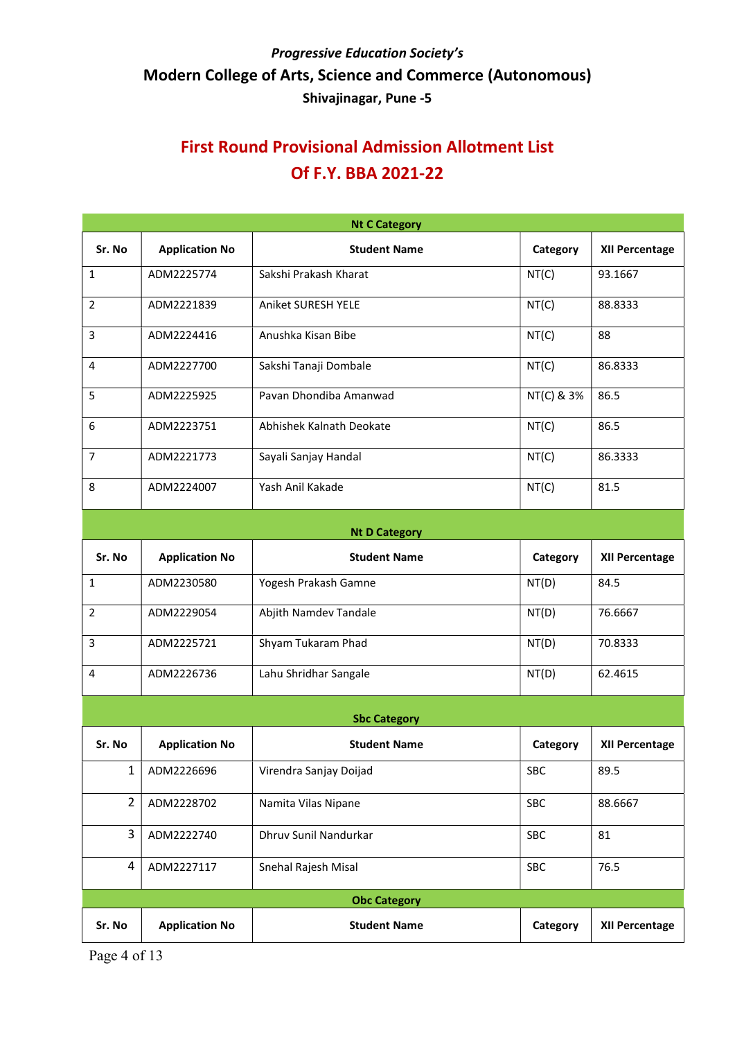|                      | <b>Nt C Category</b>  |                          |            |                       |  |  |
|----------------------|-----------------------|--------------------------|------------|-----------------------|--|--|
| Sr. No               | <b>Application No</b> | <b>Student Name</b>      | Category   | XII Percentage        |  |  |
| $\mathbf{1}$         | ADM2225774            | Sakshi Prakash Kharat    | NT(C)      | 93.1667               |  |  |
| $\overline{2}$       | ADM2221839            | Aniket SURESH YELE       | NT(C)      | 88.8333               |  |  |
| 3                    | ADM2224416            | Anushka Kisan Bibe       | NT(C)      | 88                    |  |  |
| 4                    | ADM2227700            | Sakshi Tanaji Dombale    | NT(C)      | 86.8333               |  |  |
| 5                    | ADM2225925            | Pavan Dhondiba Amanwad   | NT(C) & 3% | 86.5                  |  |  |
| 6                    | ADM2223751            | Abhishek Kalnath Deokate | NT(C)      | 86.5                  |  |  |
| 7                    | ADM2221773            | Sayali Sanjay Handal     | NT(C)      | 86.3333               |  |  |
| 8                    | ADM2224007            | Yash Anil Kakade         | NT(C)      | 81.5                  |  |  |
| <b>Nt D Category</b> |                       |                          |            |                       |  |  |
| Sr. No               | <b>Application No</b> | <b>Student Name</b>      | Category   | <b>XII Percentage</b> |  |  |
| 1                    | ADM2230580            | Yogesh Prakash Gamne     | NT(D)      | 84.5                  |  |  |

|   | ADM2230580 | Yogesh Prakash Gamne  | NT(D) | 84.5    |
|---|------------|-----------------------|-------|---------|
|   | ADM2229054 | Abjith Namdev Tandale | NT(D) | 76.6667 |
|   | ADM2225721 | Shyam Tukaram Phad    | NT(D) | 70.8333 |
| 4 | ADM2226736 | Lahu Shridhar Sangale | NT(D) | 62.4615 |

| <b>Sbc Category</b> |                       |                        |            |                       |  |
|---------------------|-----------------------|------------------------|------------|-----------------------|--|
| Sr. No              | <b>Application No</b> | <b>Student Name</b>    | Category   | <b>XII Percentage</b> |  |
| 1                   | ADM2226696            | Virendra Sanjay Doijad | <b>SBC</b> | 89.5                  |  |
| 2                   | ADM2228702            | Namita Vilas Nipane    | <b>SBC</b> | 88.6667               |  |
| 3                   | ADM2222740            | Dhruy Sunil Nandurkar  | <b>SBC</b> | 81                    |  |
| 4                   | ADM2227117            | Snehal Rajesh Misal    | <b>SBC</b> | 76.5                  |  |
| <b>Obc Category</b> |                       |                        |            |                       |  |
| Sr. No              | <b>Application No</b> | <b>Student Name</b>    | Category   | <b>XII Percentage</b> |  |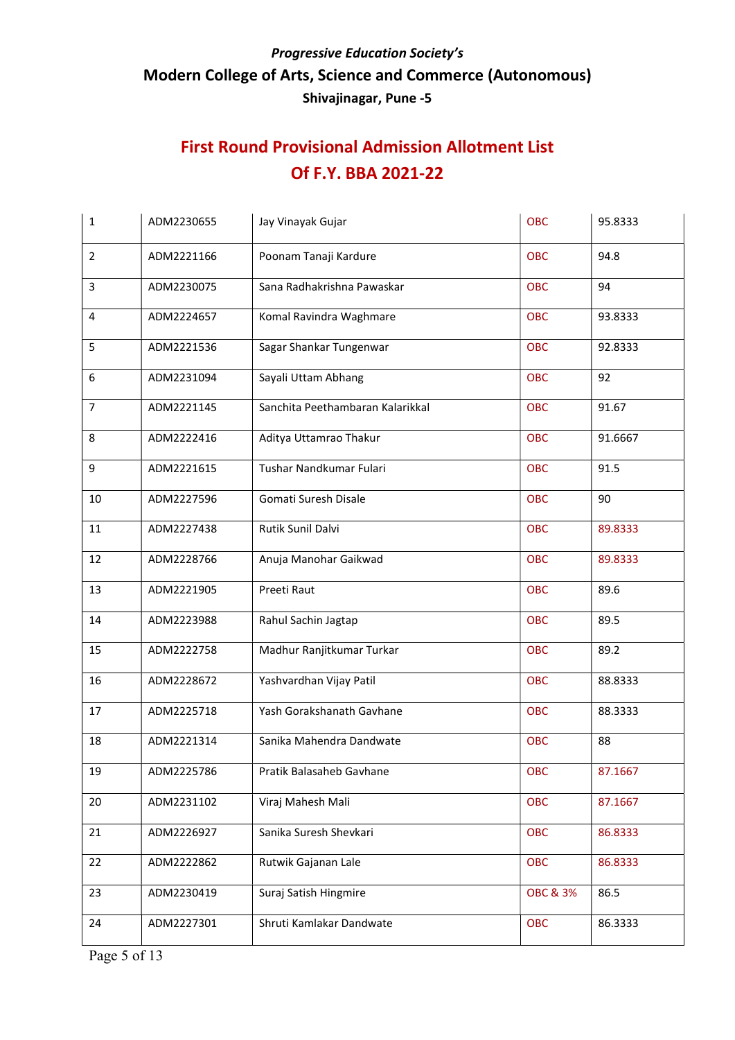| <b>OBC</b><br>94.8<br>$\overline{2}$<br>ADM2221166<br>Poonam Tanaji Kardure<br>3<br>ADM2230075<br>Sana Radhakrishna Pawaskar<br>94<br><b>OBC</b><br>$\overline{4}$<br>ADM2224657<br>Komal Ravindra Waghmare<br><b>OBC</b><br>93.8333<br>5<br>ADM2221536<br>Sagar Shankar Tungenwar<br><b>OBC</b><br>92.8333<br>ADM2231094<br>Sayali Uttam Abhang<br>92<br><b>OBC</b><br>6<br>Sanchita Peethambaran Kalarikkal<br>$\overline{7}$<br>ADM2221145<br><b>OBC</b><br>91.67<br>8<br>ADM2222416<br>Aditya Uttamrao Thakur<br><b>OBC</b><br>91.6667<br>Tushar Nandkumar Fulari<br>9<br>ADM2221615<br><b>OBC</b><br>91.5 | 1  | ADM2230655 | Jay Vinayak Gujar    | OBC        | 95.8333 |
|----------------------------------------------------------------------------------------------------------------------------------------------------------------------------------------------------------------------------------------------------------------------------------------------------------------------------------------------------------------------------------------------------------------------------------------------------------------------------------------------------------------------------------------------------------------------------------------------------------------|----|------------|----------------------|------------|---------|
|                                                                                                                                                                                                                                                                                                                                                                                                                                                                                                                                                                                                                |    |            |                      |            |         |
|                                                                                                                                                                                                                                                                                                                                                                                                                                                                                                                                                                                                                |    |            |                      |            |         |
|                                                                                                                                                                                                                                                                                                                                                                                                                                                                                                                                                                                                                |    |            |                      |            |         |
|                                                                                                                                                                                                                                                                                                                                                                                                                                                                                                                                                                                                                |    |            |                      |            |         |
|                                                                                                                                                                                                                                                                                                                                                                                                                                                                                                                                                                                                                |    |            |                      |            |         |
|                                                                                                                                                                                                                                                                                                                                                                                                                                                                                                                                                                                                                |    |            |                      |            |         |
|                                                                                                                                                                                                                                                                                                                                                                                                                                                                                                                                                                                                                |    |            |                      |            |         |
|                                                                                                                                                                                                                                                                                                                                                                                                                                                                                                                                                                                                                |    |            |                      |            |         |
|                                                                                                                                                                                                                                                                                                                                                                                                                                                                                                                                                                                                                | 10 | ADM2227596 | Gomati Suresh Disale | <b>OBC</b> | 90      |
| Rutik Sunil Dalvi<br>11<br>ADM2227438<br><b>OBC</b><br>89.8333                                                                                                                                                                                                                                                                                                                                                                                                                                                                                                                                                 |    |            |                      |            |         |
| 12<br>Anuja Manohar Gaikwad<br><b>OBC</b><br>ADM2228766<br>89.8333                                                                                                                                                                                                                                                                                                                                                                                                                                                                                                                                             |    |            |                      |            |         |
| Preeti Raut<br><b>OBC</b><br>13<br>ADM2221905<br>89.6                                                                                                                                                                                                                                                                                                                                                                                                                                                                                                                                                          |    |            |                      |            |         |
| 14<br>ADM2223988<br>Rahul Sachin Jagtap<br><b>OBC</b><br>89.5                                                                                                                                                                                                                                                                                                                                                                                                                                                                                                                                                  |    |            |                      |            |         |
| ADM2222758<br>Madhur Ranjitkumar Turkar<br><b>OBC</b><br>89.2<br>15                                                                                                                                                                                                                                                                                                                                                                                                                                                                                                                                            |    |            |                      |            |         |
| Yashvardhan Vijay Patil<br>ADM2228672<br><b>OBC</b><br>88.8333<br>16                                                                                                                                                                                                                                                                                                                                                                                                                                                                                                                                           |    |            |                      |            |         |
| Yash Gorakshanath Gavhane<br>ADM2225718<br><b>OBC</b><br>88.3333<br>17                                                                                                                                                                                                                                                                                                                                                                                                                                                                                                                                         |    |            |                      |            |         |
| ADM2221314<br>Sanika Mahendra Dandwate<br><b>OBC</b><br>18<br>88                                                                                                                                                                                                                                                                                                                                                                                                                                                                                                                                               |    |            |                      |            |         |
| 19<br>Pratik Balasaheb Gavhane<br>ADM2225786<br><b>OBC</b><br>87.1667                                                                                                                                                                                                                                                                                                                                                                                                                                                                                                                                          |    |            |                      |            |         |
| Viraj Mahesh Mali<br>20<br>ADM2231102<br><b>OBC</b><br>87.1667                                                                                                                                                                                                                                                                                                                                                                                                                                                                                                                                                 |    |            |                      |            |         |
| Sanika Suresh Shevkari<br><b>OBC</b><br>21<br>ADM2226927<br>86.8333                                                                                                                                                                                                                                                                                                                                                                                                                                                                                                                                            |    |            |                      |            |         |
| Rutwik Gajanan Lale<br><b>OBC</b><br>22<br>ADM2222862<br>86.8333                                                                                                                                                                                                                                                                                                                                                                                                                                                                                                                                               |    |            |                      |            |         |
| 23<br>Suraj Satish Hingmire<br><b>OBC &amp; 3%</b><br>86.5<br>ADM2230419                                                                                                                                                                                                                                                                                                                                                                                                                                                                                                                                       |    |            |                      |            |         |
| Shruti Kamlakar Dandwate<br>24<br>ADM2227301<br><b>OBC</b><br>86.3333                                                                                                                                                                                                                                                                                                                                                                                                                                                                                                                                          |    |            |                      |            |         |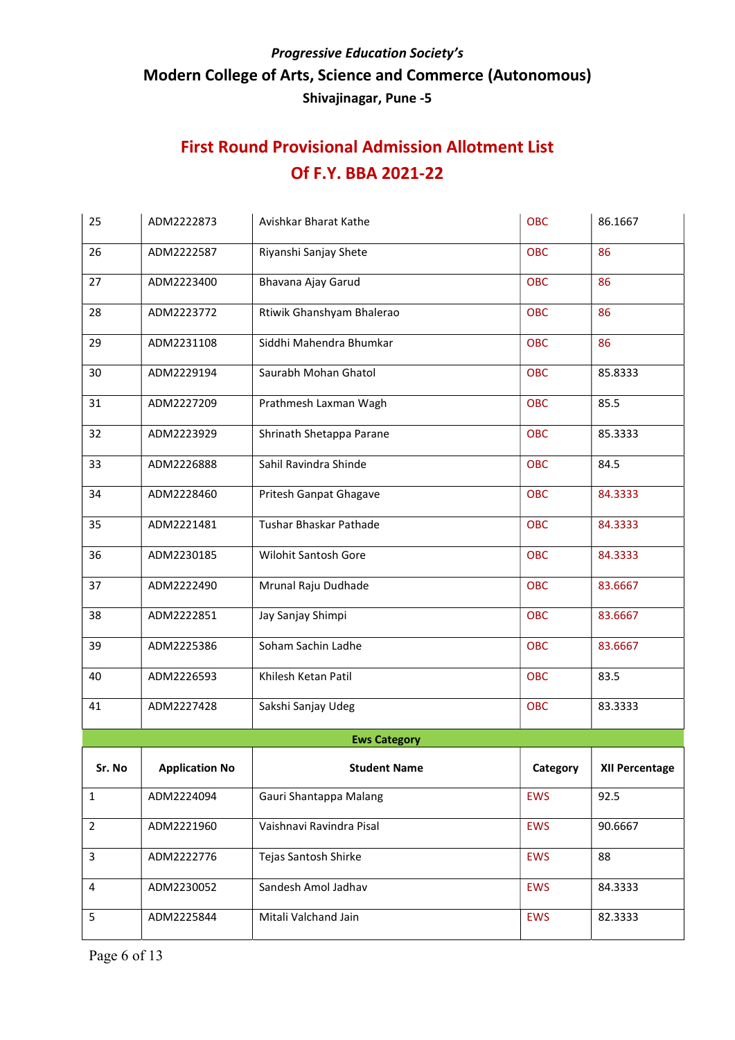| 25             | ADM2222873            | Avishkar Bharat Kathe       | OBC        | 86.1667               |
|----------------|-----------------------|-----------------------------|------------|-----------------------|
| 26             | ADM2222587            | Riyanshi Sanjay Shete       | <b>OBC</b> | 86                    |
| 27             | ADM2223400            | Bhavana Ajay Garud          | <b>OBC</b> | 86                    |
| 28             | ADM2223772            | Rtiwik Ghanshyam Bhalerao   | <b>OBC</b> | 86                    |
| 29             | ADM2231108            | Siddhi Mahendra Bhumkar     | <b>OBC</b> | 86                    |
| 30             | ADM2229194            | Saurabh Mohan Ghatol        | <b>OBC</b> | 85.8333               |
| 31             | ADM2227209            | Prathmesh Laxman Wagh       | <b>OBC</b> | 85.5                  |
| 32             | ADM2223929            | Shrinath Shetappa Parane    | <b>OBC</b> | 85.3333               |
| 33             | ADM2226888            | Sahil Ravindra Shinde       | <b>OBC</b> | 84.5                  |
| 34             | ADM2228460            | Pritesh Ganpat Ghagave      | <b>OBC</b> | 84.3333               |
| 35             | ADM2221481            | Tushar Bhaskar Pathade      | <b>OBC</b> | 84.3333               |
| 36             | ADM2230185            | <b>Wilohit Santosh Gore</b> | <b>OBC</b> | 84.3333               |
| 37             | ADM2222490            | Mrunal Raju Dudhade         | <b>OBC</b> | 83.6667               |
| 38             | ADM2222851            | Jay Sanjay Shimpi           | <b>OBC</b> | 83.6667               |
| 39             | ADM2225386            | Soham Sachin Ladhe          | <b>OBC</b> | 83.6667               |
| 40             | ADM2226593            | Khilesh Ketan Patil         | <b>OBC</b> | 83.5                  |
| 41             | ADM2227428            | Sakshi Sanjay Udeg          | <b>OBC</b> | 83.3333               |
|                |                       | <b>Ews Category</b>         |            |                       |
| Sr. No         | <b>Application No</b> | <b>Student Name</b>         | Category   | <b>XII Percentage</b> |
| $\mathbf{1}$   | ADM2224094            | Gauri Shantappa Malang      | <b>EWS</b> | 92.5                  |
| $\overline{2}$ | ADM2221960            | Vaishnavi Ravindra Pisal    | <b>EWS</b> | 90.6667               |
| $\mathbf{3}$   | ADM2222776            | Tejas Santosh Shirke        | <b>EWS</b> | 88                    |
| 4              | ADM2230052            | Sandesh Amol Jadhav         | <b>EWS</b> | 84.3333               |
| 5              | ADM2225844            | Mitali Valchand Jain        | <b>EWS</b> | 82.3333               |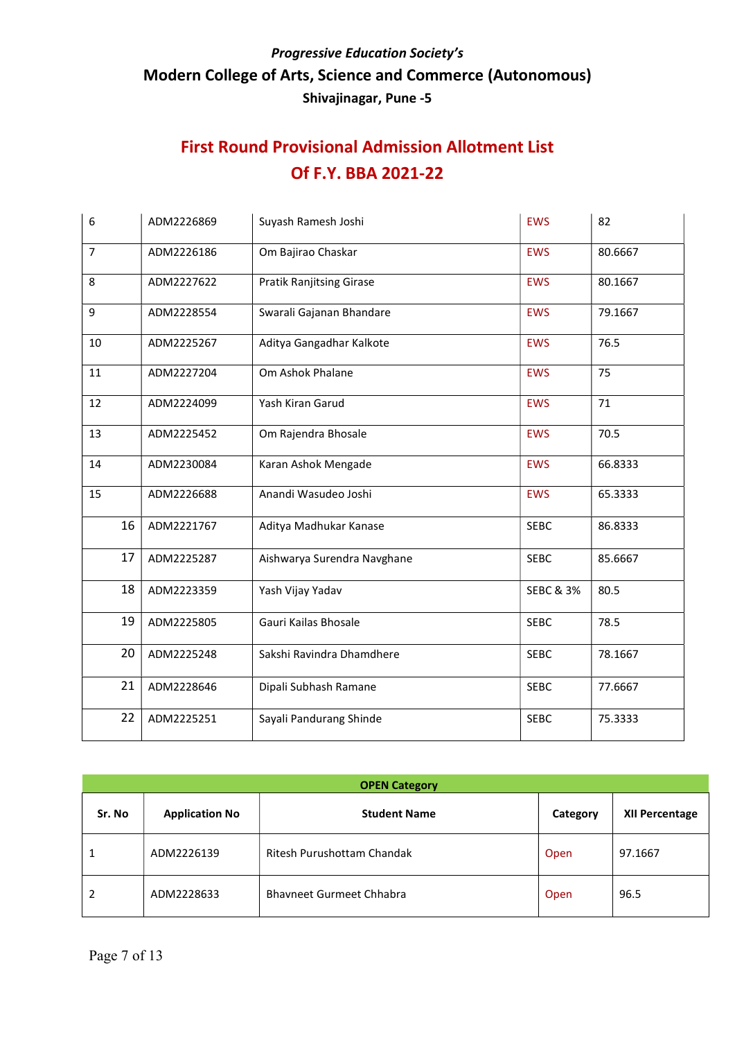| 6              | ADM2226869 | Suyash Ramesh Joshi             | <b>EWS</b>           | 82      |
|----------------|------------|---------------------------------|----------------------|---------|
| $\overline{7}$ | ADM2226186 | Om Bajirao Chaskar              | <b>EWS</b>           | 80.6667 |
| 8              | ADM2227622 | <b>Pratik Ranjitsing Girase</b> | <b>EWS</b>           | 80.1667 |
| 9              | ADM2228554 | Swarali Gajanan Bhandare        | <b>EWS</b>           | 79.1667 |
| 10             | ADM2225267 | Aditya Gangadhar Kalkote        | <b>EWS</b>           | 76.5    |
| 11             | ADM2227204 | Om Ashok Phalane                | <b>EWS</b>           | 75      |
| 12             | ADM2224099 | Yash Kiran Garud                | <b>EWS</b>           | 71      |
| 13             | ADM2225452 | Om Rajendra Bhosale             | <b>EWS</b>           | 70.5    |
| 14             | ADM2230084 | Karan Ashok Mengade             | <b>EWS</b>           | 66.8333 |
| 15             | ADM2226688 | Anandi Wasudeo Joshi            | <b>EWS</b>           | 65.3333 |
| 16             | ADM2221767 | Aditya Madhukar Kanase          | <b>SEBC</b>          | 86.8333 |
| 17             | ADM2225287 | Aishwarya Surendra Navghane     | <b>SEBC</b>          | 85.6667 |
| 18             | ADM2223359 | Yash Vijay Yadav                | <b>SEBC &amp; 3%</b> | 80.5    |
| 19             | ADM2225805 | Gauri Kailas Bhosale            | <b>SEBC</b>          | 78.5    |
| 20             | ADM2225248 | Sakshi Ravindra Dhamdhere       | <b>SEBC</b>          | 78.1667 |
| 21             | ADM2228646 | Dipali Subhash Ramane           | <b>SEBC</b>          | 77.6667 |
| 22             | ADM2225251 | Sayali Pandurang Shinde         | <b>SEBC</b>          | 75.3333 |

| <b>OPEN Category</b> |                       |                                 |          |                       |  |
|----------------------|-----------------------|---------------------------------|----------|-----------------------|--|
| Sr. No               | <b>Application No</b> | <b>Student Name</b>             | Category | <b>XII Percentage</b> |  |
|                      | ADM2226139            | Ritesh Purushottam Chandak      | Open     | 97.1667               |  |
| 2                    | ADM2228633            | <b>Bhavneet Gurmeet Chhabra</b> | Open     | 96.5                  |  |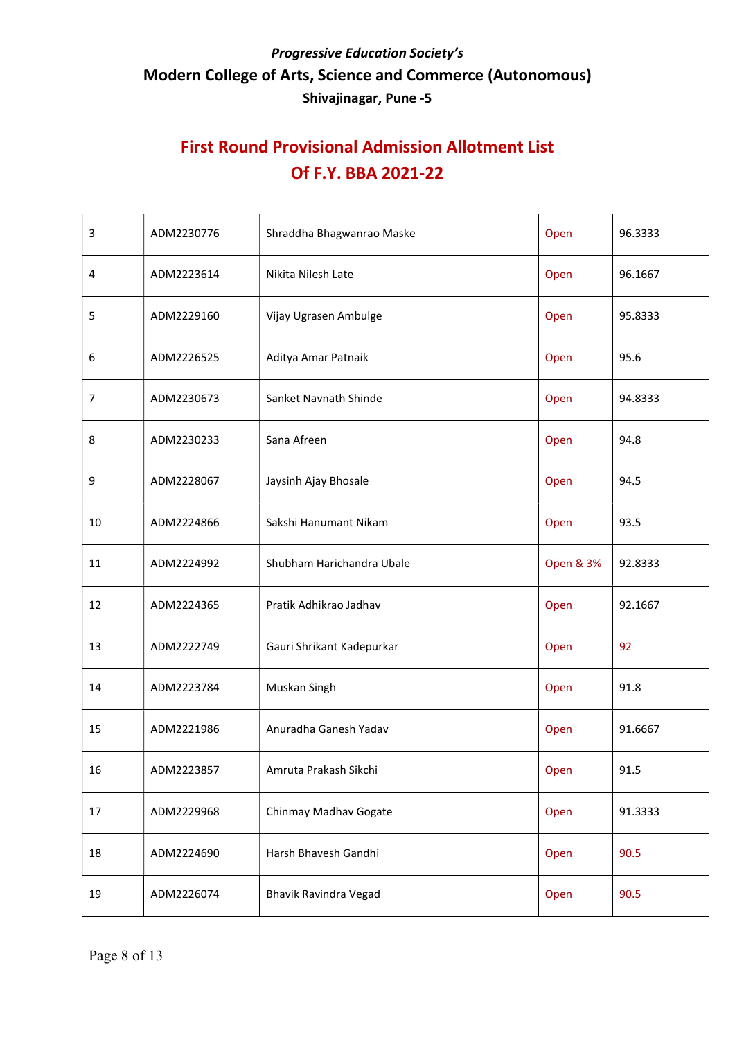| 3              | ADM2230776 | Shraddha Bhagwanrao Maske | Open      | 96.3333 |
|----------------|------------|---------------------------|-----------|---------|
| 4              | ADM2223614 | Nikita Nilesh Late        | Open      | 96.1667 |
| 5              | ADM2229160 | Vijay Ugrasen Ambulge     | Open      | 95.8333 |
| 6              | ADM2226525 | Aditya Amar Patnaik       | Open      | 95.6    |
| $\overline{7}$ | ADM2230673 | Sanket Navnath Shinde     | Open      | 94.8333 |
| 8              | ADM2230233 | Sana Afreen               | Open      | 94.8    |
| 9              | ADM2228067 | Jaysinh Ajay Bhosale      | Open      | 94.5    |
| 10             | ADM2224866 | Sakshi Hanumant Nikam     | Open      | 93.5    |
| 11             | ADM2224992 | Shubham Harichandra Ubale | Open & 3% | 92.8333 |
| 12             | ADM2224365 | Pratik Adhikrao Jadhav    | Open      | 92.1667 |
| 13             | ADM2222749 | Gauri Shrikant Kadepurkar | Open      | 92      |
| 14             | ADM2223784 | Muskan Singh              | Open      | 91.8    |
| 15             | ADM2221986 | Anuradha Ganesh Yadav     | Open      | 91.6667 |
| 16             | ADM2223857 | Amruta Prakash Sikchi     | Open      | 91.5    |
| 17             | ADM2229968 | Chinmay Madhav Gogate     | Open      | 91.3333 |
| 18             | ADM2224690 | Harsh Bhavesh Gandhi      | Open      | 90.5    |
| 19             | ADM2226074 | Bhavik Ravindra Vegad     | Open      | 90.5    |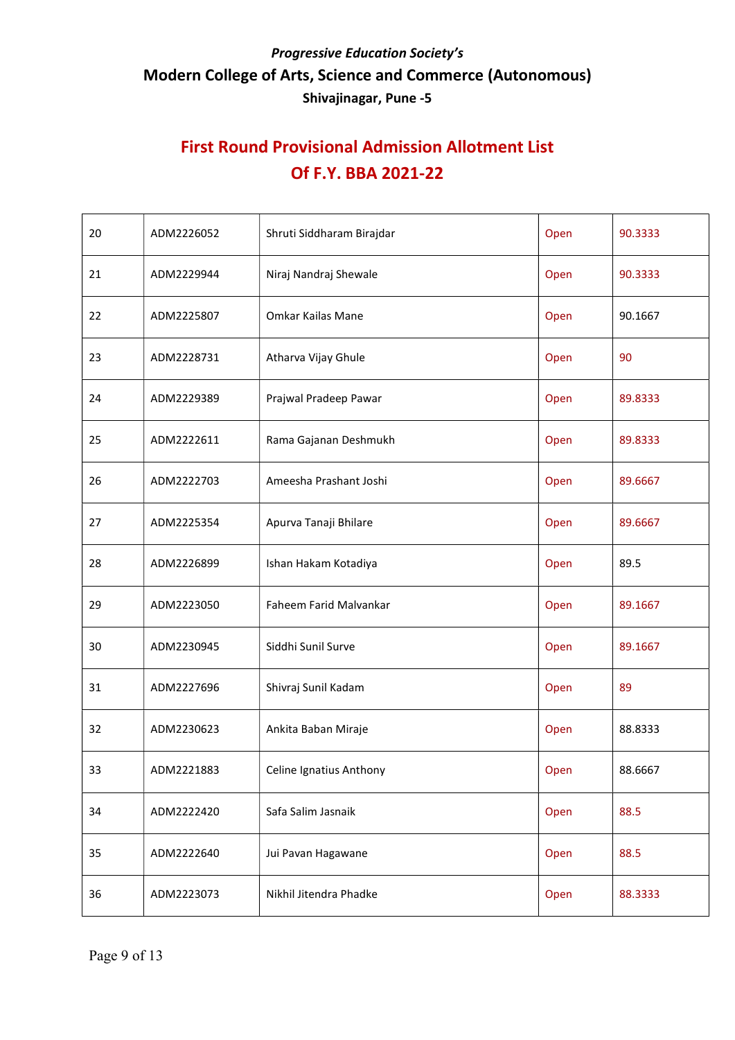| 20 | ADM2226052 | Shruti Siddharam Birajdar | Open | 90.3333 |
|----|------------|---------------------------|------|---------|
| 21 | ADM2229944 | Niraj Nandraj Shewale     | Open | 90.3333 |
| 22 | ADM2225807 | Omkar Kailas Mane         | Open | 90.1667 |
| 23 | ADM2228731 | Atharva Vijay Ghule       | Open | 90      |
| 24 | ADM2229389 | Prajwal Pradeep Pawar     | Open | 89.8333 |
| 25 | ADM2222611 | Rama Gajanan Deshmukh     | Open | 89.8333 |
| 26 | ADM2222703 | Ameesha Prashant Joshi    | Open | 89.6667 |
| 27 | ADM2225354 | Apurva Tanaji Bhilare     | Open | 89.6667 |
| 28 | ADM2226899 | Ishan Hakam Kotadiya      | Open | 89.5    |
| 29 | ADM2223050 | Faheem Farid Malvankar    | Open | 89.1667 |
| 30 | ADM2230945 | Siddhi Sunil Surve        | Open | 89.1667 |
| 31 | ADM2227696 | Shivraj Sunil Kadam       | Open | 89      |
| 32 | ADM2230623 | Ankita Baban Miraje       | Open | 88.8333 |
| 33 | ADM2221883 | Celine Ignatius Anthony   | Open | 88.6667 |
| 34 | ADM2222420 | Safa Salim Jasnaik        | Open | 88.5    |
| 35 | ADM2222640 | Jui Pavan Hagawane        | Open | 88.5    |
| 36 | ADM2223073 | Nikhil Jitendra Phadke    | Open | 88.3333 |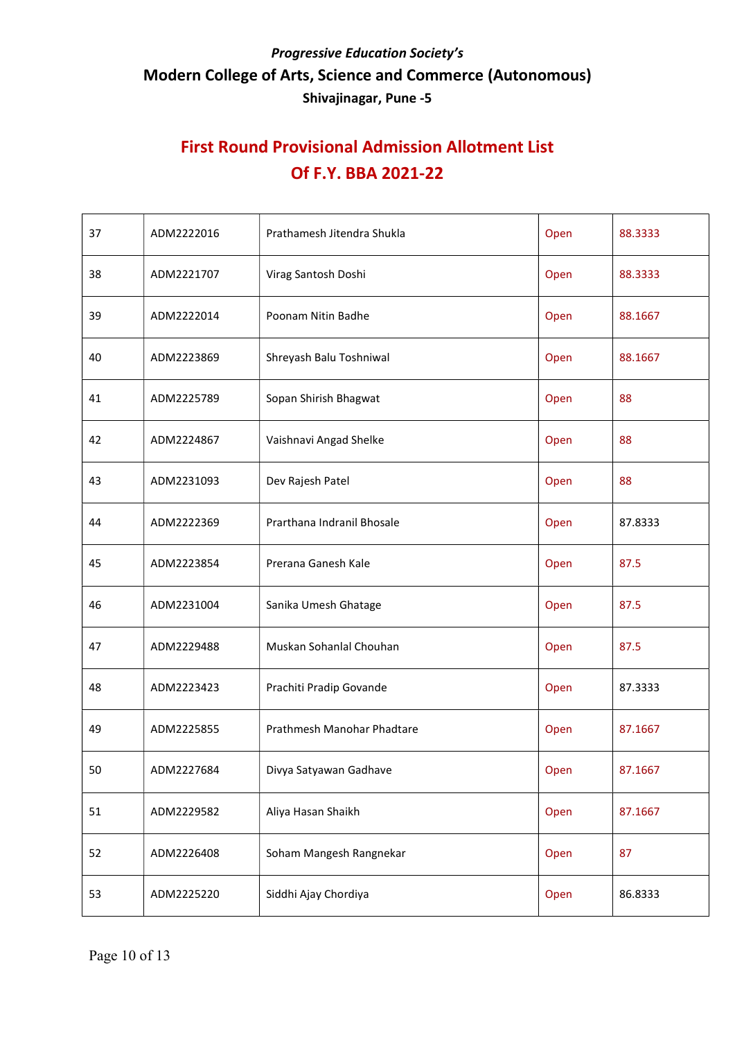| 37 | ADM2222016 | Prathamesh Jitendra Shukla<br>Open |      | 88.3333 |
|----|------------|------------------------------------|------|---------|
| 38 | ADM2221707 | Virag Santosh Doshi                | Open | 88.3333 |
| 39 | ADM2222014 | Poonam Nitin Badhe                 | Open | 88.1667 |
| 40 | ADM2223869 | Shreyash Balu Toshniwal            | Open | 88.1667 |
| 41 | ADM2225789 | Sopan Shirish Bhagwat              | Open | 88      |
| 42 | ADM2224867 | Vaishnavi Angad Shelke             | Open | 88      |
| 43 | ADM2231093 | Dev Rajesh Patel                   | Open | 88      |
| 44 | ADM2222369 | Prarthana Indranil Bhosale         | Open | 87.8333 |
| 45 | ADM2223854 | Prerana Ganesh Kale                | Open | 87.5    |
| 46 | ADM2231004 | Sanika Umesh Ghatage               | Open | 87.5    |
| 47 | ADM2229488 | Muskan Sohanlal Chouhan            | Open | 87.5    |
| 48 | ADM2223423 | Prachiti Pradip Govande            | Open | 87.3333 |
| 49 | ADM2225855 | Prathmesh Manohar Phadtare         | Open | 87.1667 |
| 50 | ADM2227684 | Divya Satyawan Gadhave             | Open | 87.1667 |
| 51 | ADM2229582 | Aliya Hasan Shaikh                 | Open | 87.1667 |
| 52 | ADM2226408 | Soham Mangesh Rangnekar            | Open | 87      |
| 53 | ADM2225220 | Siddhi Ajay Chordiya               | Open | 86.8333 |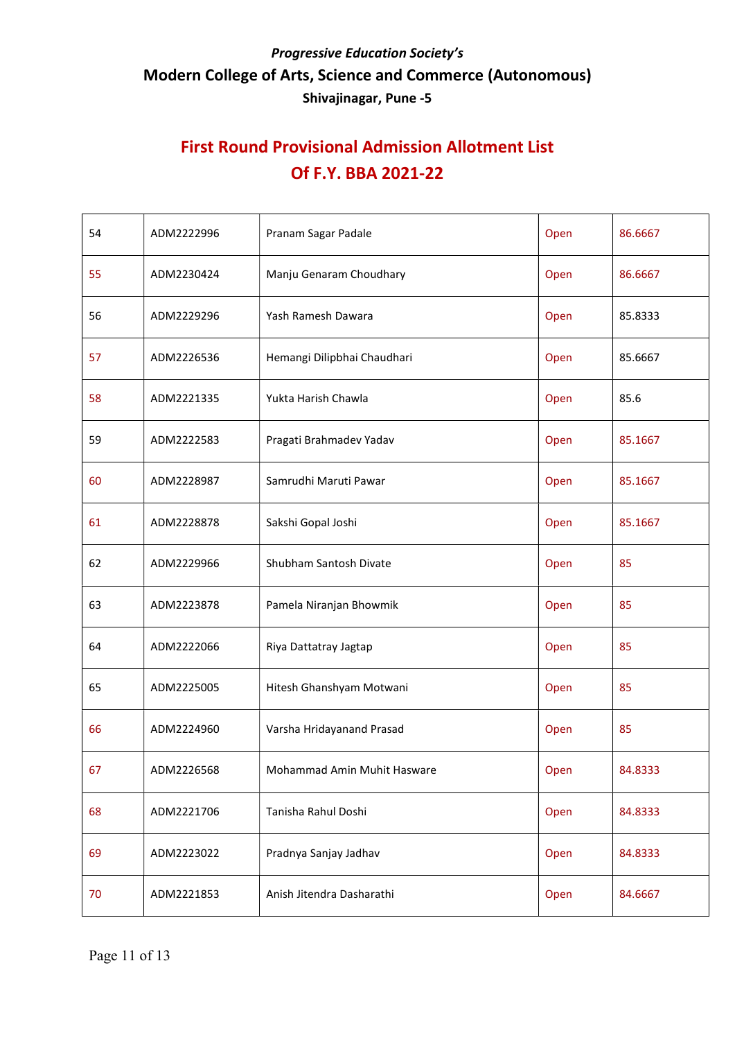| 54 | ADM2222996 | Pranam Sagar Padale         | Open | 86.6667 |
|----|------------|-----------------------------|------|---------|
| 55 | ADM2230424 | Manju Genaram Choudhary     | Open | 86.6667 |
| 56 | ADM2229296 | Yash Ramesh Dawara          | Open | 85.8333 |
| 57 | ADM2226536 | Hemangi Dilipbhai Chaudhari | Open | 85.6667 |
| 58 | ADM2221335 | Yukta Harish Chawla         | Open | 85.6    |
| 59 | ADM2222583 | Pragati Brahmadev Yadav     | Open | 85.1667 |
| 60 | ADM2228987 | Samrudhi Maruti Pawar       | Open | 85.1667 |
| 61 | ADM2228878 | Sakshi Gopal Joshi          | Open | 85.1667 |
| 62 | ADM2229966 | Shubham Santosh Divate      | Open | 85      |
| 63 | ADM2223878 | Pamela Niranjan Bhowmik     | Open | 85      |
| 64 | ADM2222066 | Riya Dattatray Jagtap       | Open | 85      |
| 65 | ADM2225005 | Hitesh Ghanshyam Motwani    | Open | 85      |
| 66 | ADM2224960 | Varsha Hridayanand Prasad   | Open | 85      |
| 67 | ADM2226568 | Mohammad Amin Muhit Hasware | Open | 84.8333 |
| 68 | ADM2221706 | Tanisha Rahul Doshi         | Open | 84.8333 |
| 69 | ADM2223022 | Pradnya Sanjay Jadhav       | Open | 84.8333 |
| 70 | ADM2221853 | Anish Jitendra Dasharathi   | Open | 84.6667 |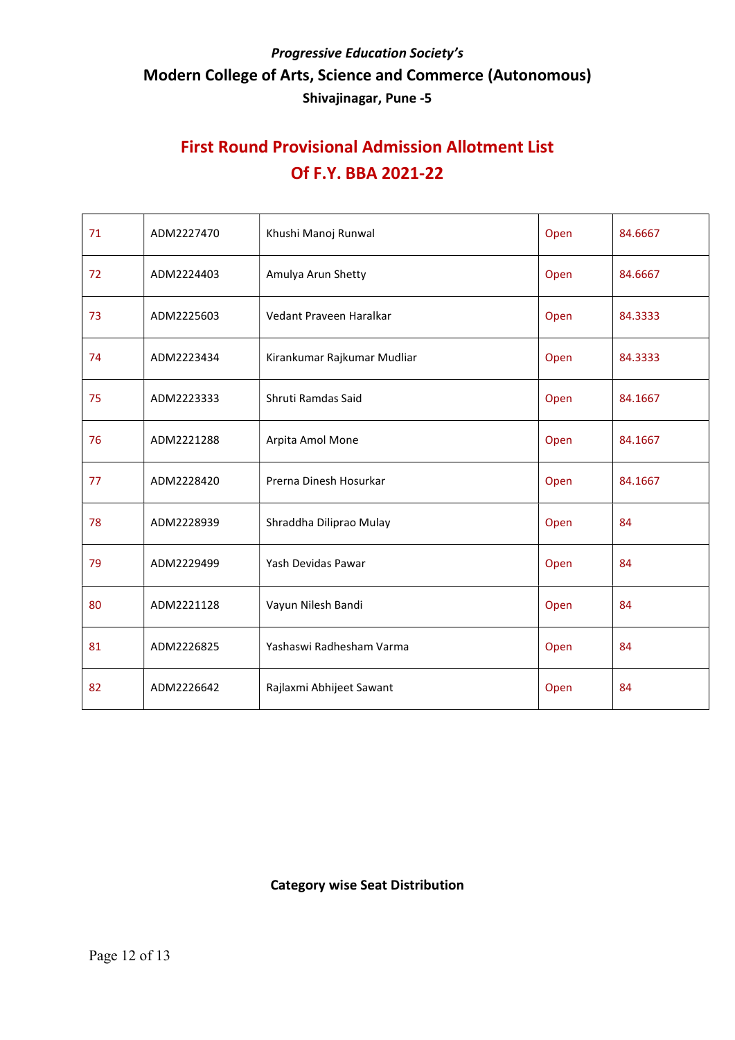# First Round Provisional Admission Allotment List Of F.Y. BBA 2021-22

| 71 | ADM2227470 | Khushi Manoj Runwal         | Open | 84.6667 |
|----|------------|-----------------------------|------|---------|
| 72 | ADM2224403 | Amulya Arun Shetty          | Open | 84.6667 |
| 73 | ADM2225603 | Vedant Praveen Haralkar     | Open | 84.3333 |
| 74 | ADM2223434 | Kirankumar Rajkumar Mudliar | Open | 84.3333 |
| 75 | ADM2223333 | Shruti Ramdas Said          | Open | 84.1667 |
| 76 | ADM2221288 | Arpita Amol Mone            | Open | 84.1667 |
| 77 | ADM2228420 | Prerna Dinesh Hosurkar      | Open | 84.1667 |
| 78 | ADM2228939 | Shraddha Diliprao Mulay     | Open | 84      |
| 79 | ADM2229499 | Yash Devidas Pawar          | Open | 84      |
| 80 | ADM2221128 | Vayun Nilesh Bandi          | Open | 84      |
| 81 | ADM2226825 | Yashaswi Radhesham Varma    | Open | 84      |
| 82 | ADM2226642 | Rajlaxmi Abhijeet Sawant    | Open | 84      |

#### Category wise Seat Distribution